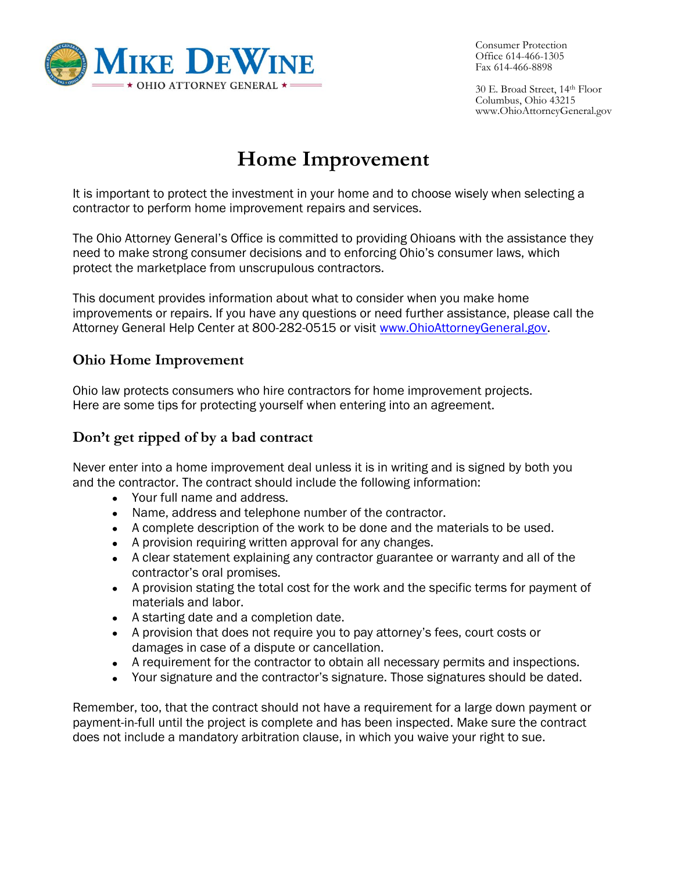

Consumer Protection Office 614-466-1305 Fax 614-466-8898

30 E. Broad Street, 14th Floor Columbus, Ohio 43215 www.OhioAttorneyGeneral.gov

# **Home Improvement**

It is important to protect the investment in your home and to choose wisely when selecting a contractor to perform home improvement repairs and services.

The Ohio Attorney General's Office is committed to providing Ohioans with the assistance they need to make strong consumer decisions and to enforcing Ohio's consumer laws, which protect the marketplace from unscrupulous contractors.

This document provides information about what to consider when you make home improvements or repairs. If you have any questions or need further assistance, please call the Attorney General Help Center at 800-282-0515 or visit [www.OhioAttorneyGeneral.gov.](http://www.ohioattorneygeneral.gov/)

### **Ohio Home Improvement**

Ohio law protects consumers who hire contractors for home improvement projects. Here are some tips for protecting yourself when entering into an agreement.

#### **Don't get ripped of by a bad contract**

Never enter into a home improvement deal unless it is in writing and is signed by both you and the contractor. The contract should include the following information:

- Your full name and address.
- Name, address and telephone number of the contractor.
- A complete description of the work to be done and the materials to be used.
- A provision requiring written approval for any changes.
- A clear statement explaining any contractor guarantee or warranty and all of the contractor's oral promises.
- A provision stating the total cost for the work and the specific terms for payment of materials and labor.
- A starting date and a completion date.
- A provision that does not require you to pay attorney's fees, court costs or damages in case of a dispute or cancellation.
- A requirement for the contractor to obtain all necessary permits and inspections.
- Your signature and the contractor's signature. Those signatures should be dated.

Remember, too, that the contract should not have a requirement for a large down payment or payment-in-full until the project is complete and has been inspected. Make sure the contract does not include a mandatory arbitration clause, in which you waive your right to sue.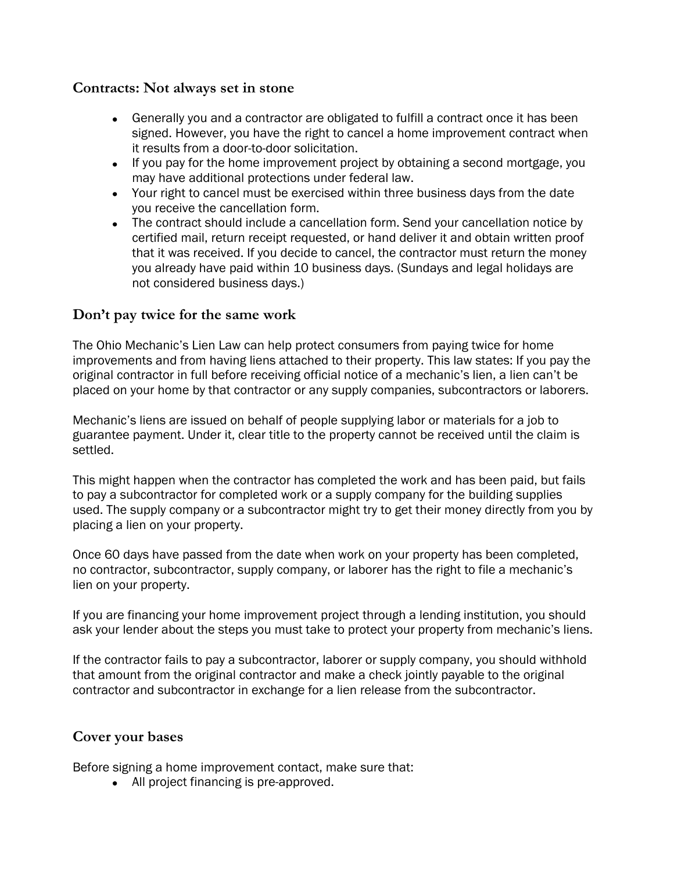#### **Contracts: Not always set in stone**

- Generally you and a contractor are obligated to fulfill a contract once it has been  $\bullet$ signed. However, you have the right to cancel a home improvement contract when it results from a door-to-door solicitation.
- If you pay for the home improvement project by obtaining a second mortgage, you  $\bullet$ may have additional protections under federal law.
- Your right to cancel must be exercised within three business days from the date you receive the cancellation form.
- The contract should include a cancellation form. Send your cancellation notice by  $\bullet$ certified mail, return receipt requested, or hand deliver it and obtain written proof that it was received. If you decide to cancel, the contractor must return the money you already have paid within 10 business days. (Sundays and legal holidays are not considered business days.)

#### **Don't pay twice for the same work**

The Ohio Mechanic's Lien Law can help protect consumers from paying twice for home improvements and from having liens attached to their property. This law states: If you pay the original contractor in full before receiving official notice of a mechanic's lien, a lien can't be placed on your home by that contractor or any supply companies, subcontractors or laborers.

Mechanic's liens are issued on behalf of people supplying labor or materials for a job to guarantee payment. Under it, clear title to the property cannot be received until the claim is settled.

This might happen when the contractor has completed the work and has been paid, but fails to pay a subcontractor for completed work or a supply company for the building supplies used. The supply company or a subcontractor might try to get their money directly from you by placing a lien on your property.

Once 60 days have passed from the date when work on your property has been completed, no contractor, subcontractor, supply company, or laborer has the right to file a mechanic's lien on your property.

If you are financing your home improvement project through a lending institution, you should ask your lender about the steps you must take to protect your property from mechanic's liens.

If the contractor fails to pay a subcontractor, laborer or supply company, you should withhold that amount from the original contractor and make a check jointly payable to the original contractor and subcontractor in exchange for a lien release from the subcontractor.

#### **Cover your bases**

Before signing a home improvement contact, make sure that:

All project financing is pre-approved.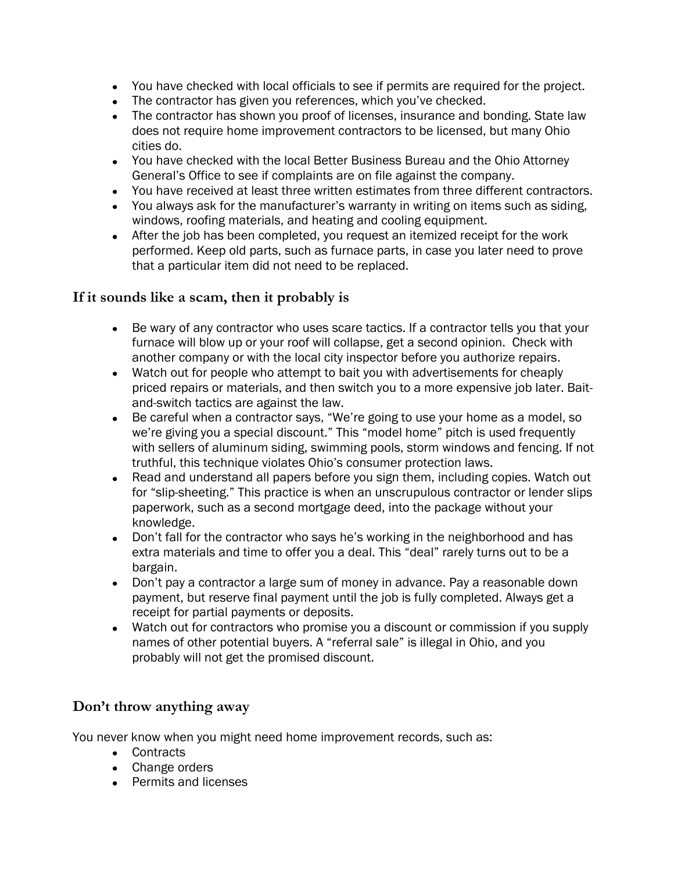- You have checked with local officials to see if permits are required for the project.
- The contractor has given you references, which you've checked.
- The contractor has shown you proof of licenses, insurance and bonding. State law does not require home improvement contractors to be licensed, but many Ohio cities do.
- You have checked with the local Better Business Bureau and the Ohio Attorney General's Office to see if complaints are on file against the company.
- You have received at least three written estimates from three different contractors.
- You always ask for the manufacturer's warranty in writing on items such as siding, windows, roofing materials, and heating and cooling equipment.
- After the job has been completed, you request an itemized receipt for the work  $\bullet$ performed. Keep old parts, such as furnace parts, in case you later need to prove that a particular item did not need to be replaced.

#### **If it sounds like a scam, then it probably is**

- Be wary of any contractor who uses scare tactics. If a contractor tells you that your  $\bullet$ furnace will blow up or your roof will collapse, get a second opinion. Check with another company or with the local city inspector before you authorize repairs.
- Watch out for people who attempt to bait you with advertisements for cheaply  $\bullet$ priced repairs or materials, and then switch you to a more expensive job later. Baitand-switch tactics are against the law.
- Be careful when a contractor says, "We're going to use your home as a model, so  $\bullet$ we're giving you a special discount." This "model home" pitch is used frequently with sellers of aluminum siding, swimming pools, storm windows and fencing. If not truthful, this technique violates Ohio's consumer protection laws.
- $\bullet$ Read and understand all papers before you sign them, including copies. Watch out for "slip-sheeting." This practice is when an unscrupulous contractor or lender slips paperwork, such as a second mortgage deed, into the package without your knowledge.
- Don't fall for the contractor who says he's working in the neighborhood and has  $\bullet$ extra materials and time to offer you a deal. This "deal" rarely turns out to be a bargain.
- Don't pay a contractor a large sum of money in advance. Pay a reasonable down payment, but reserve final payment until the job is fully completed. Always get a receipt for partial payments or deposits.
- Watch out for contractors who promise you a discount or commission if you supply names of other potential buyers. A "referral sale" is illegal in Ohio, and you probably will not get the promised discount.

## **Don't throw anything away**

You never know when you might need home improvement records, such as:

- Contracts
- Change orders
- Permits and licenses